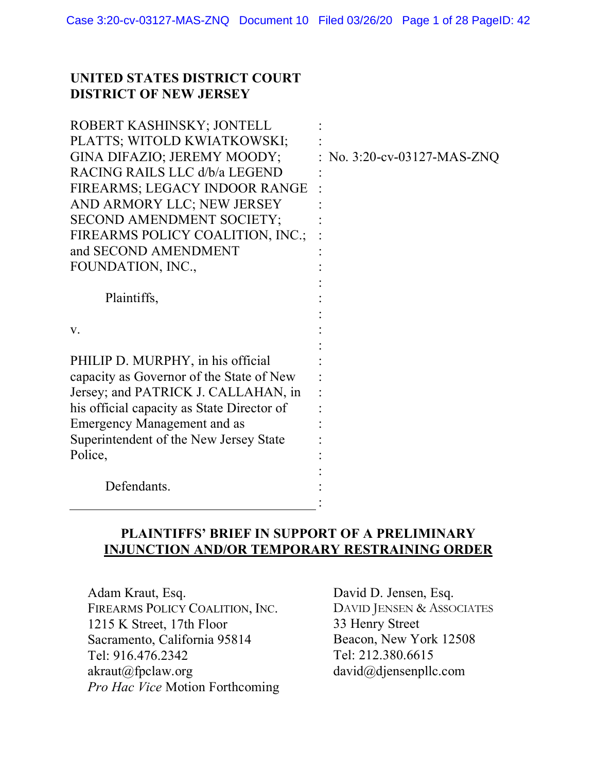### **UNITED STATES DISTRICT COURT DISTRICT OF NEW JERSEY**

| ROBERT KASHINSKY; JONTELL<br>PLATTS; WITOLD KWIATKOWSKI;<br>GINA DIFAZIO; JEREMY MOODY;<br>RACING RAILS LLC d/b/a LEGEND<br>FIREARMS; LEGACY INDOOR RANGE<br>AND ARMORY LLC; NEW JERSEY<br>SECOND AMENDMENT SOCIETY;<br>FIREARMS POLICY COALITION, INC.;<br>and SECOND AMENDMENT<br>FOUNDATION, INC., | No. 3:20-cv-03127-MAS-ZNQ |
|-------------------------------------------------------------------------------------------------------------------------------------------------------------------------------------------------------------------------------------------------------------------------------------------------------|---------------------------|
| Plaintiffs,                                                                                                                                                                                                                                                                                           |                           |
| V.                                                                                                                                                                                                                                                                                                    |                           |
| PHILIP D. MURPHY, in his official<br>capacity as Governor of the State of New<br>Jersey; and PATRICK J. CALLAHAN, in<br>his official capacity as State Director of<br>Emergency Management and as<br>Superintendent of the New Jersey State<br>Police,                                                |                           |
| Defendants.                                                                                                                                                                                                                                                                                           |                           |

# **PLAINTIFFS' BRIEF IN SUPPORT OF A PRELIMINARY INJUNCTION AND/OR TEMPORARY RESTRAINING ORDER**

Adam Kraut, Esq. FIREARMS POLICY COALITION, INC. 1215 K Street, 17th Floor Sacramento, California 95814 Tel: 916.476.2342 akraut@fpclaw.org *Pro Hac Vice* Motion Forthcoming David D. Jensen, Esq. DAVID JENSEN & ASSOCIATES 33 Henry Street Beacon, New York 12508 Tel: 212.380.6615 david@djensenpllc.com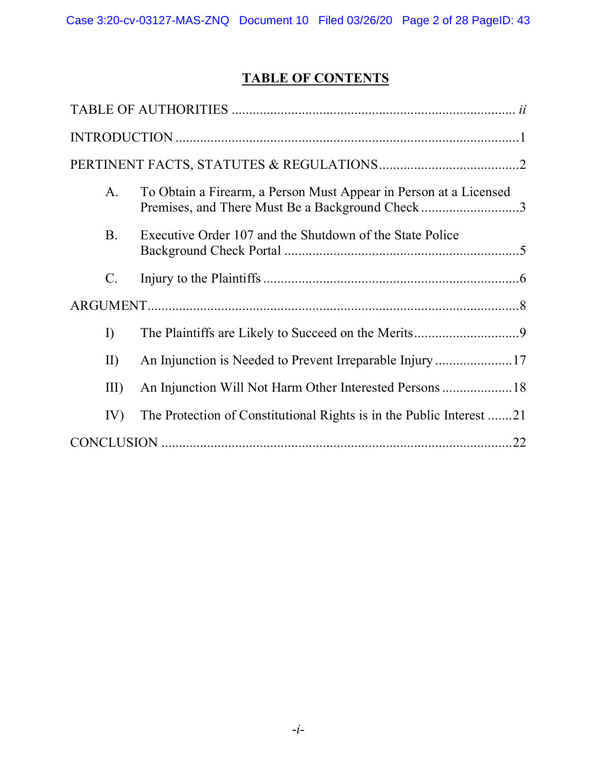# **TABLE OF CONTENTS**

| A.              | To Obtain a Firearm, a Person Must Appear in Person at a Licensed<br>Premises, and There Must Be a Background Check3 |
|-----------------|----------------------------------------------------------------------------------------------------------------------|
| <b>B.</b>       | Executive Order 107 and the Shutdown of the State Police                                                             |
| $\mathcal{C}$ . |                                                                                                                      |
|                 |                                                                                                                      |
| $\Gamma$        |                                                                                                                      |
| II)             |                                                                                                                      |
| III             |                                                                                                                      |
| IV)             | The Protection of Constitutional Rights is in the Public Interest 21                                                 |
|                 | .22                                                                                                                  |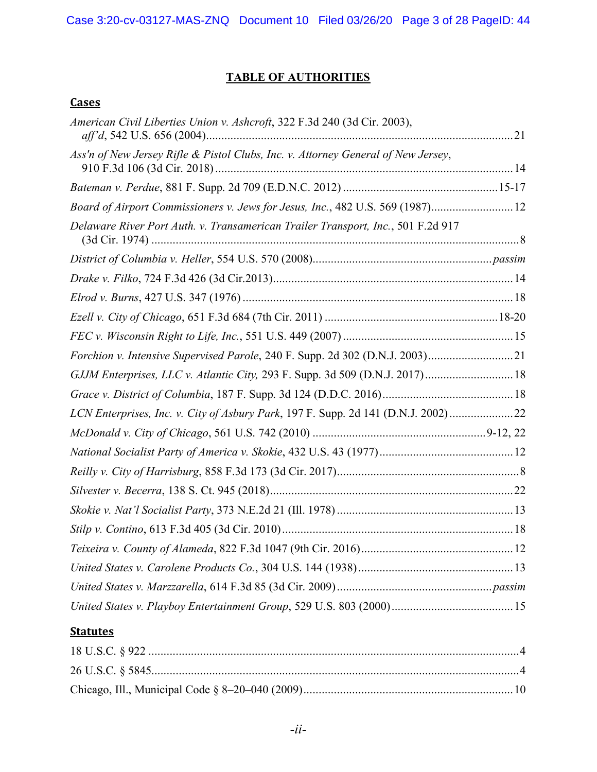# **TABLE OF AUTHORITIES**

## **Cases**

| American Civil Liberties Union v. Ashcroft, 322 F.3d 240 (3d Cir. 2003),          |  |
|-----------------------------------------------------------------------------------|--|
| Ass'n of New Jersey Rifle & Pistol Clubs, Inc. v. Attorney General of New Jersey, |  |
|                                                                                   |  |
| Board of Airport Commissioners v. Jews for Jesus, Inc., 482 U.S. 569 (1987) 12    |  |
| Delaware River Port Auth. v. Transamerican Trailer Transport, Inc., 501 F.2d 917  |  |
|                                                                                   |  |
|                                                                                   |  |
|                                                                                   |  |
|                                                                                   |  |
|                                                                                   |  |
| Forchion v. Intensive Supervised Parole, 240 F. Supp. 2d 302 (D.N.J. 2003)21      |  |
| GJJM Enterprises, LLC v. Atlantic City, 293 F. Supp. 3d 509 (D.N.J. 2017) 18      |  |
|                                                                                   |  |
| LCN Enterprises, Inc. v. City of Asbury Park, 197 F. Supp. 2d 141 (D.N.J. 2002)   |  |
|                                                                                   |  |
|                                                                                   |  |
|                                                                                   |  |
|                                                                                   |  |
|                                                                                   |  |
|                                                                                   |  |
|                                                                                   |  |
|                                                                                   |  |
|                                                                                   |  |
|                                                                                   |  |

## **Statutes**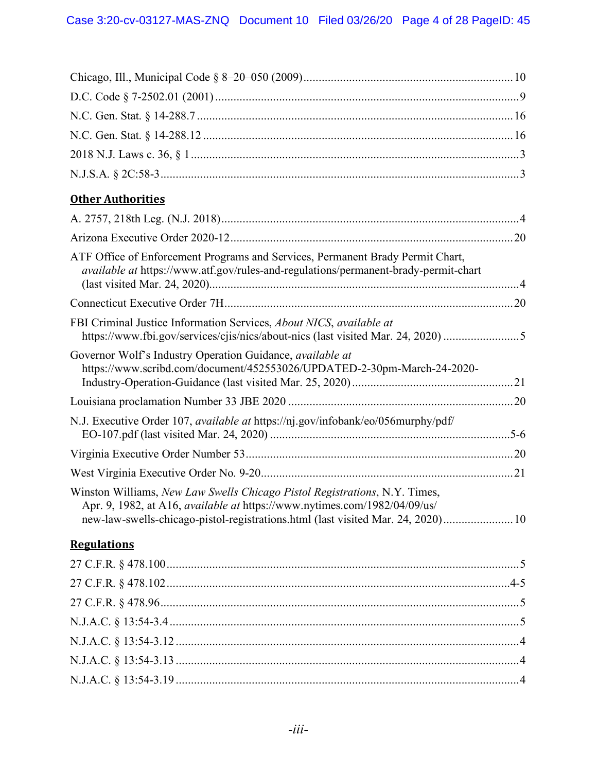| <b>Other Authorities</b>                                                                                                                                                                                                                           |  |
|----------------------------------------------------------------------------------------------------------------------------------------------------------------------------------------------------------------------------------------------------|--|
|                                                                                                                                                                                                                                                    |  |
|                                                                                                                                                                                                                                                    |  |
| ATF Office of Enforcement Programs and Services, Permanent Brady Permit Chart,<br>available at https://www.atf.gov/rules-and-regulations/permanent-brady-permit-chart                                                                              |  |
|                                                                                                                                                                                                                                                    |  |
| FBI Criminal Justice Information Services, About NICS, available at<br>https://www.fbi.gov/services/cjis/nics/about-nics (last visited Mar. 24, 2020) 5                                                                                            |  |
| Governor Wolf's Industry Operation Guidance, available at<br>https://www.scribd.com/document/452553026/UPDATED-2-30pm-March-24-2020-                                                                                                               |  |
|                                                                                                                                                                                                                                                    |  |
| N.J. Executive Order 107, <i>available at</i> https://nj.gov/infobank/eo/056murphy/pdf/                                                                                                                                                            |  |
|                                                                                                                                                                                                                                                    |  |
|                                                                                                                                                                                                                                                    |  |
| Winston Williams, New Law Swells Chicago Pistol Registrations, N.Y. Times,<br>Apr. 9, 1982, at A16, <i>available at https://www.nytimes.com/1982/04/09/us/</i><br>new-law-swells-chicago-pistol-registrations.html (last visited Mar. 24, 2020) 10 |  |
| <b>Regulations</b>                                                                                                                                                                                                                                 |  |
|                                                                                                                                                                                                                                                    |  |
|                                                                                                                                                                                                                                                    |  |
|                                                                                                                                                                                                                                                    |  |
|                                                                                                                                                                                                                                                    |  |
|                                                                                                                                                                                                                                                    |  |
|                                                                                                                                                                                                                                                    |  |
|                                                                                                                                                                                                                                                    |  |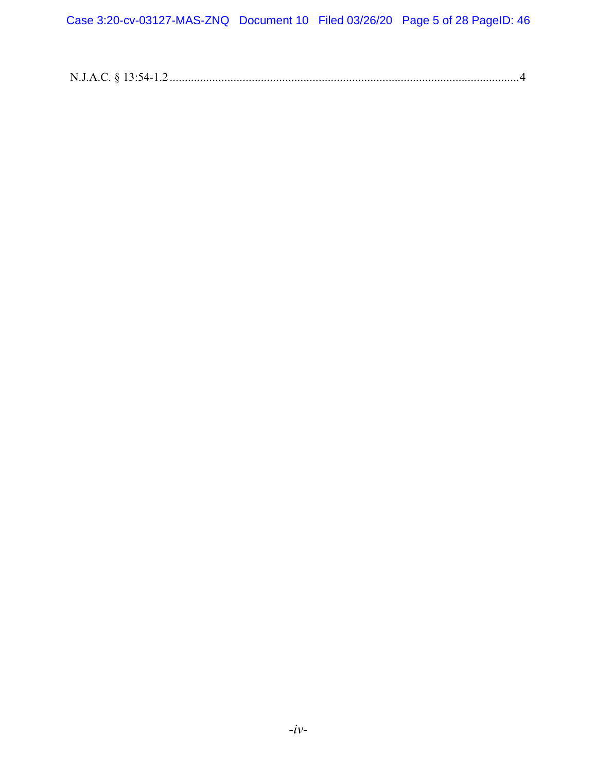| N.J.A.C. § 13:54-1.2 |
|----------------------|
|----------------------|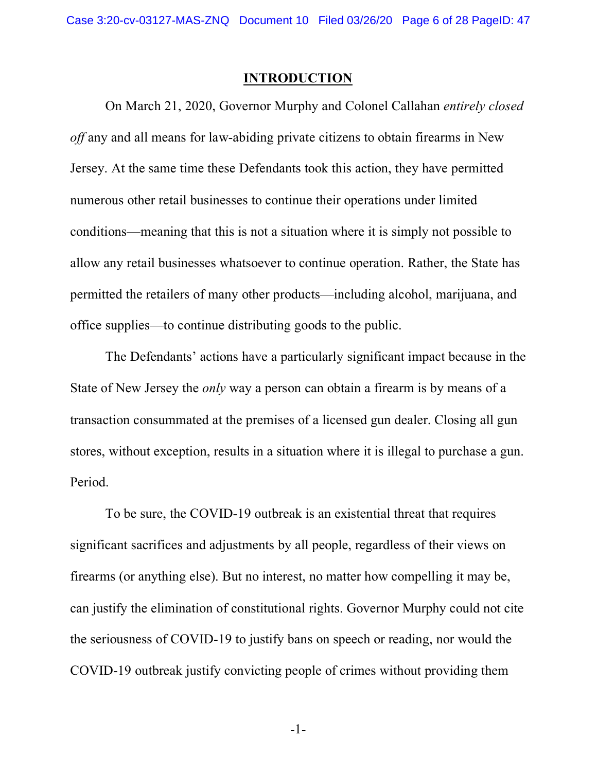#### **INTRODUCTION**

On March 21, 2020, Governor Murphy and Colonel Callahan *entirely closed off* any and all means for law-abiding private citizens to obtain firearms in New Jersey. At the same time these Defendants took this action, they have permitted numerous other retail businesses to continue their operations under limited conditions—meaning that this is not a situation where it is simply not possible to allow any retail businesses whatsoever to continue operation. Rather, the State has permitted the retailers of many other products—including alcohol, marijuana, and office supplies—to continue distributing goods to the public.

The Defendants' actions have a particularly significant impact because in the State of New Jersey the *only* way a person can obtain a firearm is by means of a transaction consummated at the premises of a licensed gun dealer. Closing all gun stores, without exception, results in a situation where it is illegal to purchase a gun. Period.

To be sure, the COVID-19 outbreak is an existential threat that requires significant sacrifices and adjustments by all people, regardless of their views on firearms (or anything else). But no interest, no matter how compelling it may be, can justify the elimination of constitutional rights. Governor Murphy could not cite the seriousness of COVID-19 to justify bans on speech or reading, nor would the COVID-19 outbreak justify convicting people of crimes without providing them

-1-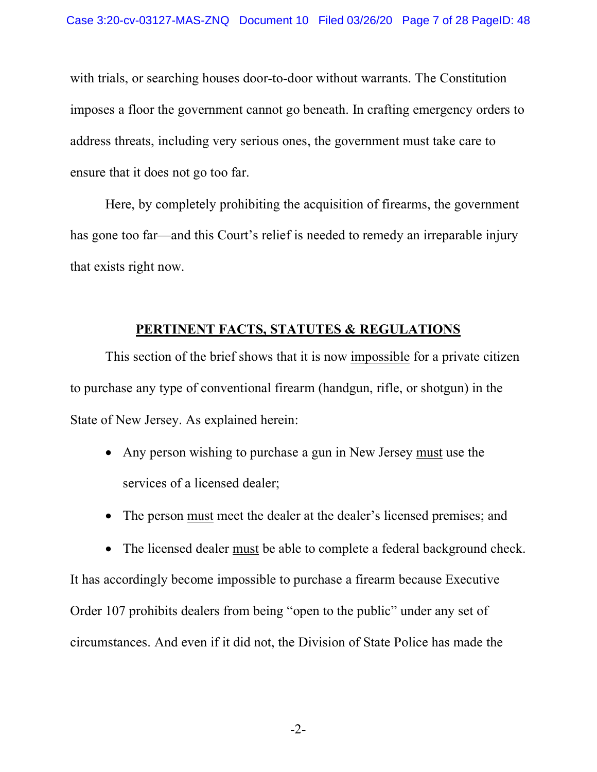with trials, or searching houses door-to-door without warrants. The Constitution imposes a floor the government cannot go beneath. In crafting emergency orders to address threats, including very serious ones, the government must take care to ensure that it does not go too far.

Here, by completely prohibiting the acquisition of firearms, the government has gone too far—and this Court's relief is needed to remedy an irreparable injury that exists right now.

## **PERTINENT FACTS, STATUTES & REGULATIONS**

This section of the brief shows that it is now impossible for a private citizen to purchase any type of conventional firearm (handgun, rifle, or shotgun) in the State of New Jersey. As explained herein:

- Any person wishing to purchase a gun in New Jersey must use the services of a licensed dealer;
- The person must meet the dealer at the dealer's licensed premises; and
- The licensed dealer must be able to complete a federal background check.

It has accordingly become impossible to purchase a firearm because Executive Order 107 prohibits dealers from being "open to the public" under any set of circumstances. And even if it did not, the Division of State Police has made the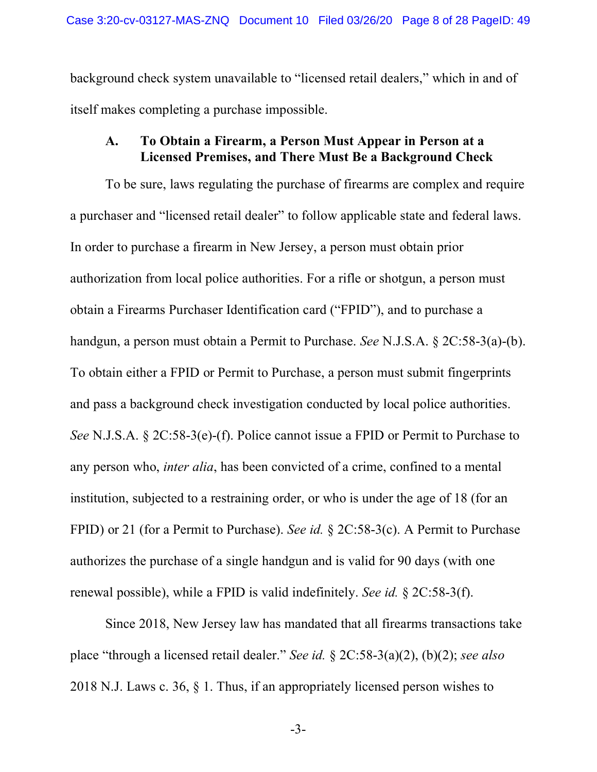background check system unavailable to "licensed retail dealers," which in and of itself makes completing a purchase impossible.

### **A. To Obtain a Firearm, a Person Must Appear in Person at a Licensed Premises, and There Must Be a Background Check**

To be sure, laws regulating the purchase of firearms are complex and require a purchaser and "licensed retail dealer" to follow applicable state and federal laws. In order to purchase a firearm in New Jersey, a person must obtain prior authorization from local police authorities. For a rifle or shotgun, a person must obtain a Firearms Purchaser Identification card ("FPID"), and to purchase a handgun, a person must obtain a Permit to Purchase. *See* N.J.S.A. § 2C:58-3(a)-(b). To obtain either a FPID or Permit to Purchase, a person must submit fingerprints and pass a background check investigation conducted by local police authorities. *See* N.J.S.A. § 2C:58-3(e)-(f). Police cannot issue a FPID or Permit to Purchase to any person who, *inter alia*, has been convicted of a crime, confined to a mental institution, subjected to a restraining order, or who is under the age of 18 (for an FPID) or 21 (for a Permit to Purchase). *See id.* § 2C:58-3(c). A Permit to Purchase authorizes the purchase of a single handgun and is valid for 90 days (with one renewal possible), while a FPID is valid indefinitely. *See id.* § 2C:58-3(f).

Since 2018, New Jersey law has mandated that all firearms transactions take place "through a licensed retail dealer." *See id.* § 2C:58-3(a)(2), (b)(2); *see also* 2018 N.J. Laws c. 36, § 1. Thus, if an appropriately licensed person wishes to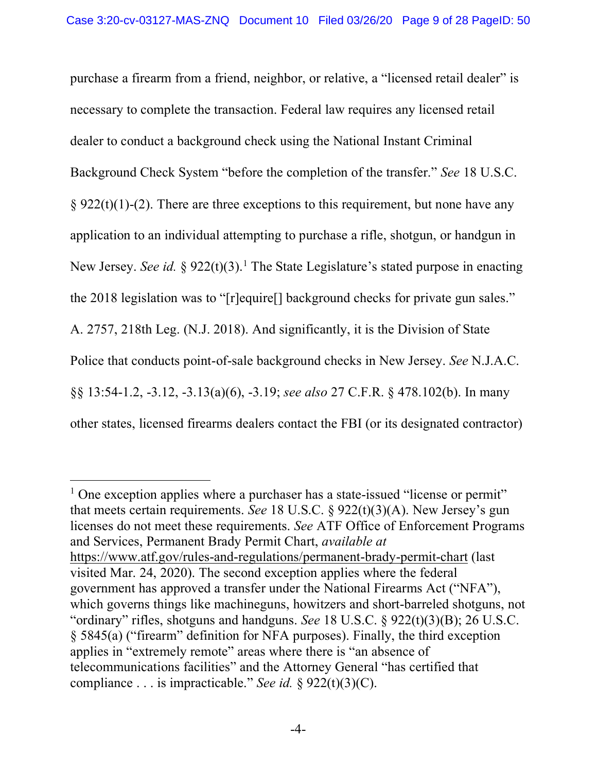purchase a firearm from a friend, neighbor, or relative, a "licensed retail dealer" is necessary to complete the transaction. Federal law requires any licensed retail dealer to conduct a background check using the National Instant Criminal Background Check System "before the completion of the transfer." *See* 18 U.S.C.  $§ 922(t)(1)-(2)$ . There are three exceptions to this requirement, but none have any application to an individual attempting to purchase a rifle, shotgun, or handgun in New Jersey. *See id.* § 922(t)(3).<sup>1</sup> The State Legislature's stated purpose in enacting the 2018 legislation was to "[r]equire[] background checks for private gun sales." A. 2757, 218th Leg. (N.J. 2018). And significantly, it is the Division of State Police that conducts point-of-sale background checks in New Jersey. *See* N.J.A.C. §§ 13:54-1.2, -3.12, -3.13(a)(6), -3.19; *see also* 27 C.F.R. § 478.102(b). In many other states, licensed firearms dealers contact the FBI (or its designated contractor)

<sup>&</sup>lt;sup>1</sup> One exception applies where a purchaser has a state-issued "license or permit" that meets certain requirements. *See* 18 U.S.C. § 922(t)(3)(A). New Jersey's gun licenses do not meet these requirements. *See* ATF Office of Enforcement Programs and Services, Permanent Brady Permit Chart, *available at* https://www.atf.gov/rules-and-regulations/permanent-brady-permit-chart (last visited Mar. 24, 2020). The second exception applies where the federal government has approved a transfer under the National Firearms Act ("NFA"), which governs things like machineguns, howitzers and short-barreled shotguns, not "ordinary" rifles, shotguns and handguns. *See* 18 U.S.C. § 922(t)(3)(B); 26 U.S.C. § 5845(a) ("firearm" definition for NFA purposes). Finally, the third exception applies in "extremely remote" areas where there is "an absence of telecommunications facilities" and the Attorney General "has certified that compliance . . . is impracticable." *See id.* § 922(t)(3)(C).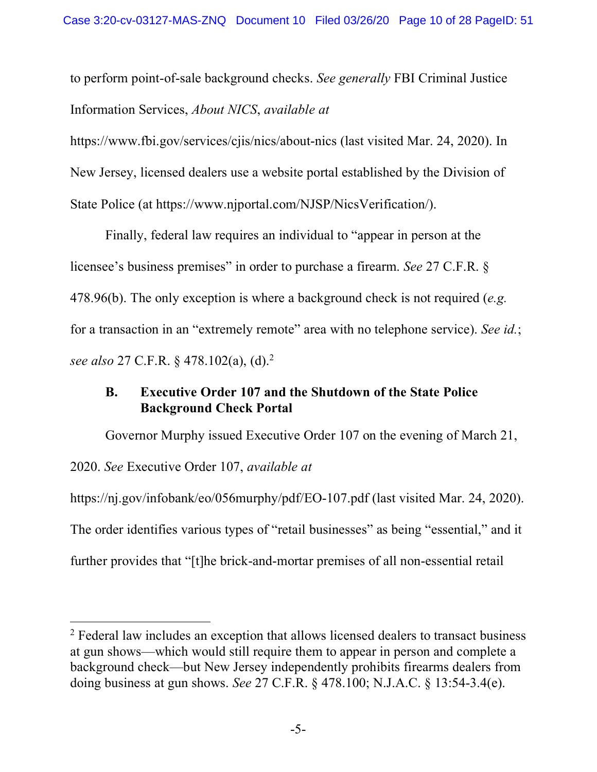to perform point-of-sale background checks. *See generally* FBI Criminal Justice Information Services, *About NICS*, *available at*

https://www.fbi.gov/services/cjis/nics/about-nics (last visited Mar. 24, 2020). In New Jersey, licensed dealers use a website portal established by the Division of State Police (at https://www.njportal.com/NJSP/NicsVerification/).

Finally, federal law requires an individual to "appear in person at the licensee's business premises" in order to purchase a firearm. *See* 27 C.F.R. § 478.96(b). The only exception is where a background check is not required (*e.g.* for a transaction in an "extremely remote" area with no telephone service). *See id.*; *see also* 27 C.F.R. § 478.102(a), (d).2

# **B. Executive Order 107 and the Shutdown of the State Police Background Check Portal**

Governor Murphy issued Executive Order 107 on the evening of March 21, 2020. *See* Executive Order 107, *available at* https://nj.gov/infobank/eo/056murphy/pdf/EO-107.pdf (last visited Mar. 24, 2020). The order identifies various types of "retail businesses" as being "essential," and it

further provides that "[t]he brick-and-mortar premises of all non-essential retail

<sup>&</sup>lt;sup>2</sup> Federal law includes an exception that allows licensed dealers to transact business at gun shows—which would still require them to appear in person and complete a background check—but New Jersey independently prohibits firearms dealers from doing business at gun shows. *See* 27 C.F.R. § 478.100; N.J.A.C. § 13:54-3.4(e).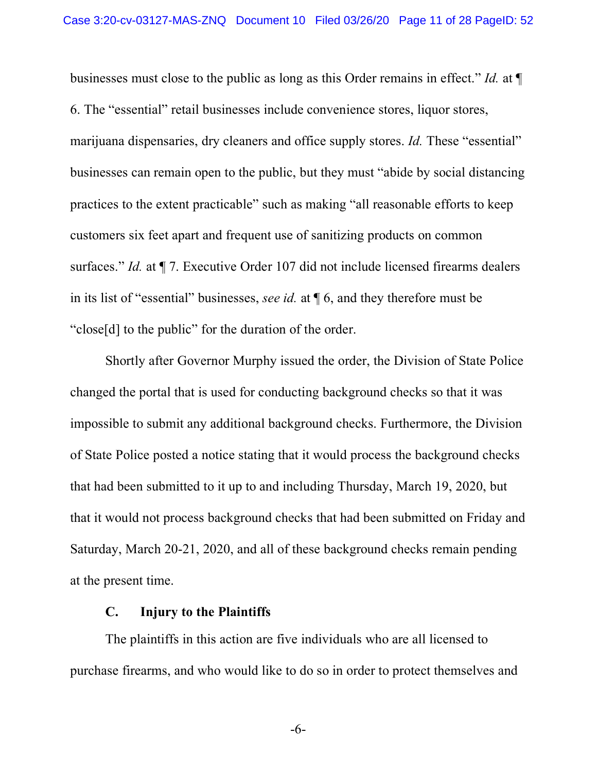businesses must close to the public as long as this Order remains in effect." *Id.* at ¶ 6. The "essential" retail businesses include convenience stores, liquor stores, marijuana dispensaries, dry cleaners and office supply stores. *Id.* These "essential" businesses can remain open to the public, but they must "abide by social distancing practices to the extent practicable" such as making "all reasonable efforts to keep customers six feet apart and frequent use of sanitizing products on common surfaces." *Id.* at  $\P$  7. Executive Order 107 did not include licensed firearms dealers in its list of "essential" businesses, *see id.* at ¶ 6, and they therefore must be "close[d] to the public" for the duration of the order.

Shortly after Governor Murphy issued the order, the Division of State Police changed the portal that is used for conducting background checks so that it was impossible to submit any additional background checks. Furthermore, the Division of State Police posted a notice stating that it would process the background checks that had been submitted to it up to and including Thursday, March 19, 2020, but that it would not process background checks that had been submitted on Friday and Saturday, March 20-21, 2020, and all of these background checks remain pending at the present time.

#### **C. Injury to the Plaintiffs**

The plaintiffs in this action are five individuals who are all licensed to purchase firearms, and who would like to do so in order to protect themselves and

-6-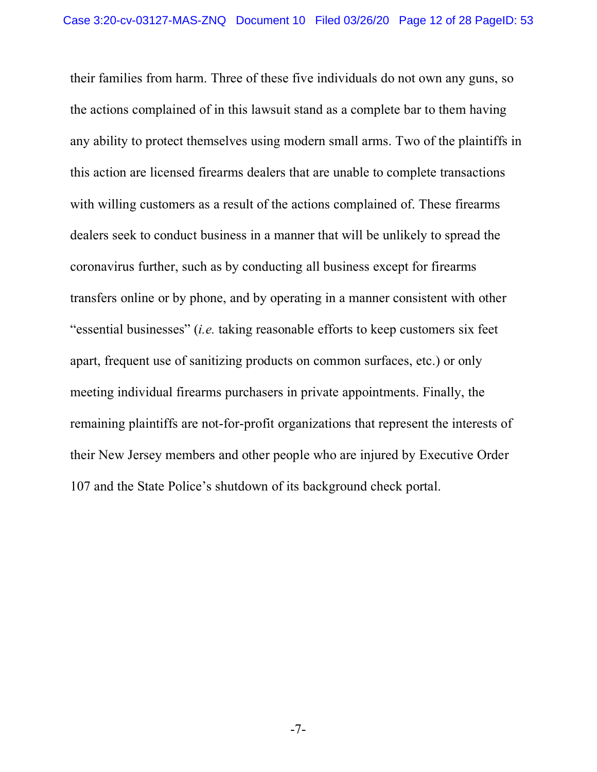their families from harm. Three of these five individuals do not own any guns, so the actions complained of in this lawsuit stand as a complete bar to them having any ability to protect themselves using modern small arms. Two of the plaintiffs in this action are licensed firearms dealers that are unable to complete transactions with willing customers as a result of the actions complained of. These firearms dealers seek to conduct business in a manner that will be unlikely to spread the coronavirus further, such as by conducting all business except for firearms transfers online or by phone, and by operating in a manner consistent with other "essential businesses" (*i.e.* taking reasonable efforts to keep customers six feet apart, frequent use of sanitizing products on common surfaces, etc.) or only meeting individual firearms purchasers in private appointments. Finally, the remaining plaintiffs are not-for-profit organizations that represent the interests of their New Jersey members and other people who are injured by Executive Order 107 and the State Police's shutdown of its background check portal.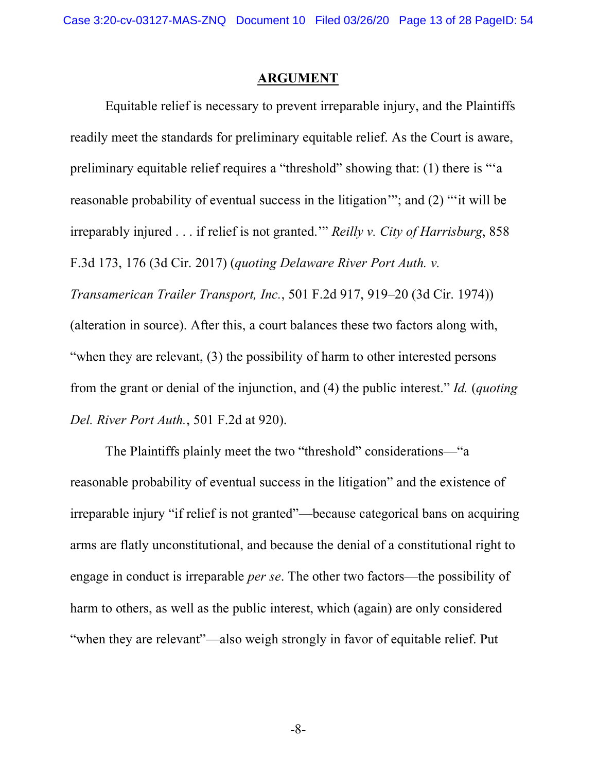#### **ARGUMENT**

Equitable relief is necessary to prevent irreparable injury, and the Plaintiffs readily meet the standards for preliminary equitable relief. As the Court is aware, preliminary equitable relief requires a "threshold" showing that: (1) there is "'a reasonable probability of eventual success in the litigation'"; and (2) "'it will be irreparably injured . . . if relief is not granted.'" *Reilly v. City of Harrisburg*, 858 F.3d 173, 176 (3d Cir. 2017) (*quoting Delaware River Port Auth. v. Transamerican Trailer Transport, Inc.*, 501 F.2d 917, 919–20 (3d Cir. 1974)) (alteration in source). After this, a court balances these two factors along with,

"when they are relevant, (3) the possibility of harm to other interested persons from the grant or denial of the injunction, and (4) the public interest." *Id.* (*quoting Del. River Port Auth.*, 501 F.2d at 920).

The Plaintiffs plainly meet the two "threshold" considerations—"a reasonable probability of eventual success in the litigation" and the existence of irreparable injury "if relief is not granted"—because categorical bans on acquiring arms are flatly unconstitutional, and because the denial of a constitutional right to engage in conduct is irreparable *per se*. The other two factors—the possibility of harm to others, as well as the public interest, which (again) are only considered "when they are relevant"—also weigh strongly in favor of equitable relief. Put

-8-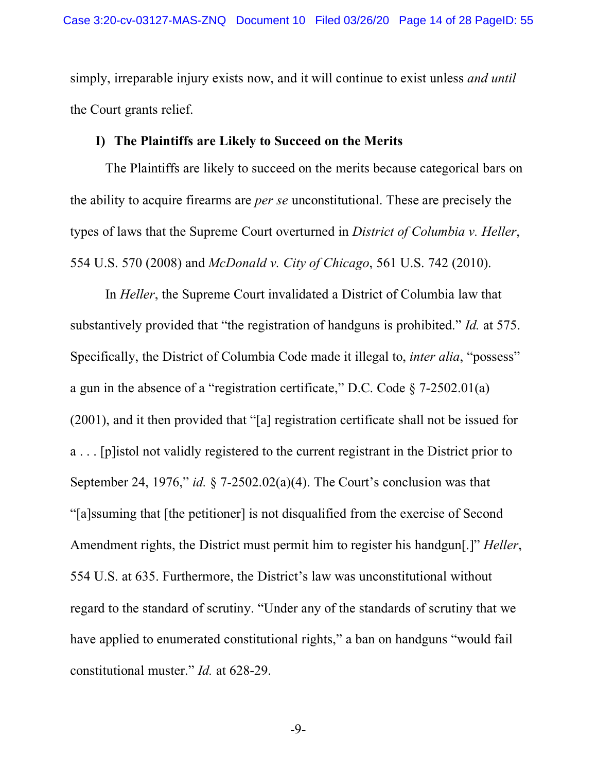simply, irreparable injury exists now, and it will continue to exist unless *and until* the Court grants relief.

# **I) The Plaintiffs are Likely to Succeed on the Merits**

The Plaintiffs are likely to succeed on the merits because categorical bars on the ability to acquire firearms are *per se* unconstitutional. These are precisely the types of laws that the Supreme Court overturned in *District of Columbia v. Heller*, 554 U.S. 570 (2008) and *McDonald v. City of Chicago*, 561 U.S. 742 (2010).

In *Heller*, the Supreme Court invalidated a District of Columbia law that substantively provided that "the registration of handguns is prohibited." *Id.* at 575. Specifically, the District of Columbia Code made it illegal to, *inter alia*, "possess" a gun in the absence of a "registration certificate," D.C. Code § 7-2502.01(a) (2001), and it then provided that "[a] registration certificate shall not be issued for a . . . [p]istol not validly registered to the current registrant in the District prior to September 24, 1976," *id.* § 7-2502.02(a)(4). The Court's conclusion was that "[a]ssuming that [the petitioner] is not disqualified from the exercise of Second Amendment rights, the District must permit him to register his handgun[.]" *Heller*, 554 U.S. at 635. Furthermore, the District's law was unconstitutional without regard to the standard of scrutiny. "Under any of the standards of scrutiny that we have applied to enumerated constitutional rights," a ban on handguns "would fail constitutional muster." *Id.* at 628-29.

-9-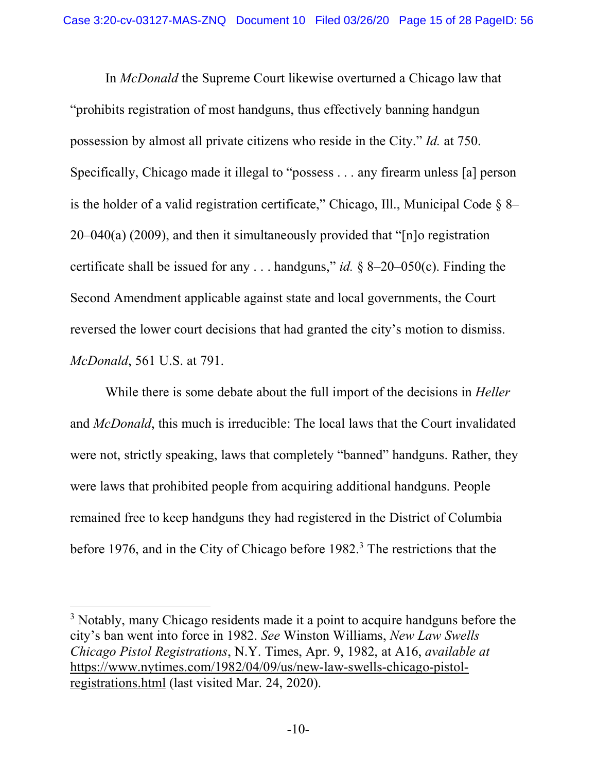In *McDonald* the Supreme Court likewise overturned a Chicago law that "prohibits registration of most handguns, thus effectively banning handgun possession by almost all private citizens who reside in the City." *Id.* at 750. Specifically, Chicago made it illegal to "possess . . . any firearm unless [a] person is the holder of a valid registration certificate," Chicago, Ill., Municipal Code  $\S$  8– 20–040(a) (2009), and then it simultaneously provided that "[n]o registration certificate shall be issued for any . . . handguns," *id.* § 8–20–050(c). Finding the Second Amendment applicable against state and local governments, the Court reversed the lower court decisions that had granted the city's motion to dismiss. *McDonald*, 561 U.S. at 791.

While there is some debate about the full import of the decisions in *Heller* and *McDonald*, this much is irreducible: The local laws that the Court invalidated were not, strictly speaking, laws that completely "banned" handguns. Rather, they were laws that prohibited people from acquiring additional handguns. People remained free to keep handguns they had registered in the District of Columbia before 1976, and in the City of Chicago before 1982.<sup>3</sup> The restrictions that the

<sup>&</sup>lt;sup>3</sup> Notably, many Chicago residents made it a point to acquire handguns before the city's ban went into force in 1982. *See* Winston Williams, *New Law Swells Chicago Pistol Registrations*, N.Y. Times, Apr. 9, 1982, at A16, *available at* https://www.nytimes.com/1982/04/09/us/new-law-swells-chicago-pistolregistrations.html (last visited Mar. 24, 2020).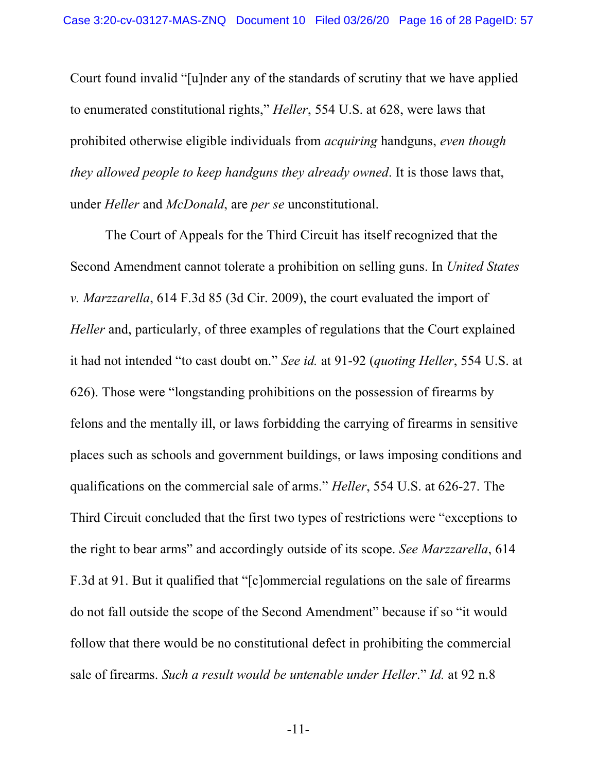Court found invalid "[u]nder any of the standards of scrutiny that we have applied to enumerated constitutional rights," *Heller*, 554 U.S. at 628, were laws that prohibited otherwise eligible individuals from *acquiring* handguns, *even though they allowed people to keep handguns they already owned*. It is those laws that, under *Heller* and *McDonald*, are *per se* unconstitutional.

The Court of Appeals for the Third Circuit has itself recognized that the Second Amendment cannot tolerate a prohibition on selling guns. In *United States v. Marzzarella*, 614 F.3d 85 (3d Cir. 2009), the court evaluated the import of *Heller* and, particularly, of three examples of regulations that the Court explained it had not intended "to cast doubt on." *See id.* at 91-92 (*quoting Heller*, 554 U.S. at 626). Those were "longstanding prohibitions on the possession of firearms by felons and the mentally ill, or laws forbidding the carrying of firearms in sensitive places such as schools and government buildings, or laws imposing conditions and qualifications on the commercial sale of arms." *Heller*, 554 U.S. at 626-27. The Third Circuit concluded that the first two types of restrictions were "exceptions to the right to bear arms" and accordingly outside of its scope. *See Marzzarella*, 614 F.3d at 91. But it qualified that "[c]ommercial regulations on the sale of firearms do not fall outside the scope of the Second Amendment" because if so "it would follow that there would be no constitutional defect in prohibiting the commercial sale of firearms. *Such a result would be untenable under Heller*." *Id.* at 92 n.8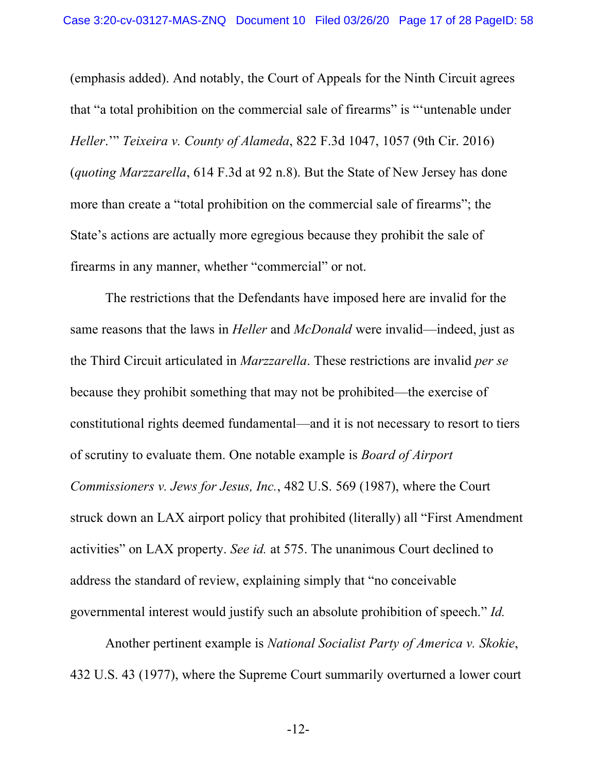(emphasis added). And notably, the Court of Appeals for the Ninth Circuit agrees that "a total prohibition on the commercial sale of firearms" is "'untenable under *Heller*.'" *Teixeira v. County of Alameda*, 822 F.3d 1047, 1057 (9th Cir. 2016) (*quoting Marzzarella*, 614 F.3d at 92 n.8). But the State of New Jersey has done more than create a "total prohibition on the commercial sale of firearms"; the State's actions are actually more egregious because they prohibit the sale of firearms in any manner, whether "commercial" or not.

The restrictions that the Defendants have imposed here are invalid for the same reasons that the laws in *Heller* and *McDonald* were invalid—indeed, just as the Third Circuit articulated in *Marzzarella*. These restrictions are invalid *per se* because they prohibit something that may not be prohibited—the exercise of constitutional rights deemed fundamental—and it is not necessary to resort to tiers of scrutiny to evaluate them. One notable example is *Board of Airport Commissioners v. Jews for Jesus, Inc.*, 482 U.S. 569 (1987), where the Court struck down an LAX airport policy that prohibited (literally) all "First Amendment activities" on LAX property. *See id.* at 575. The unanimous Court declined to address the standard of review, explaining simply that "no conceivable governmental interest would justify such an absolute prohibition of speech." *Id.*

Another pertinent example is *National Socialist Party of America v. Skokie*, 432 U.S. 43 (1977), where the Supreme Court summarily overturned a lower court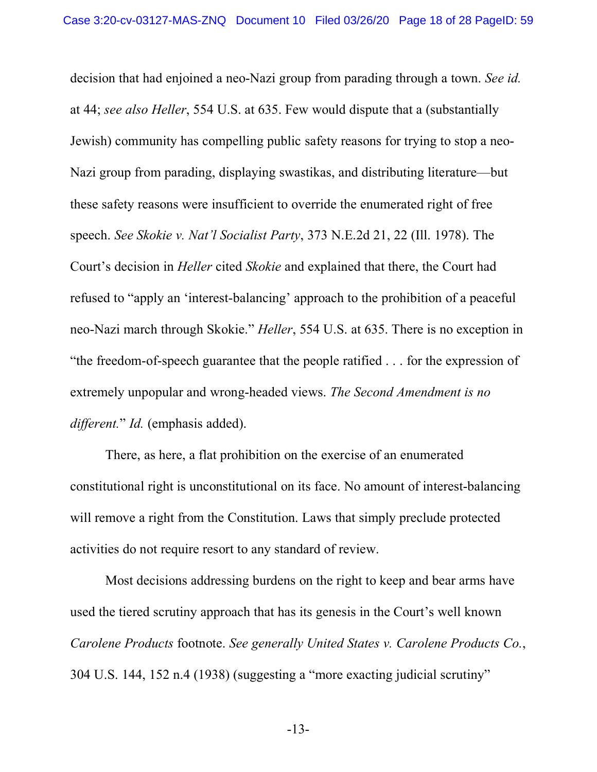decision that had enjoined a neo-Nazi group from parading through a town. *See id.* at 44; *see also Heller*, 554 U.S. at 635. Few would dispute that a (substantially Jewish) community has compelling public safety reasons for trying to stop a neo-Nazi group from parading, displaying swastikas, and distributing literature—but these safety reasons were insufficient to override the enumerated right of free speech. *See Skokie v. Nat'l Socialist Party*, 373 N.E.2d 21, 22 (Ill. 1978). The Court's decision in *Heller* cited *Skokie* and explained that there, the Court had refused to "apply an 'interest-balancing' approach to the prohibition of a peaceful neo-Nazi march through Skokie." *Heller*, 554 U.S. at 635. There is no exception in "the freedom-of-speech guarantee that the people ratified . . . for the expression of extremely unpopular and wrong-headed views. *The Second Amendment is no different.*" *Id.* (emphasis added).

There, as here, a flat prohibition on the exercise of an enumerated constitutional right is unconstitutional on its face. No amount of interest-balancing will remove a right from the Constitution. Laws that simply preclude protected activities do not require resort to any standard of review.

Most decisions addressing burdens on the right to keep and bear arms have used the tiered scrutiny approach that has its genesis in the Court's well known *Carolene Products* footnote. *See generally United States v. Carolene Products Co.*, 304 U.S. 144, 152 n.4 (1938) (suggesting a "more exacting judicial scrutiny"

-13-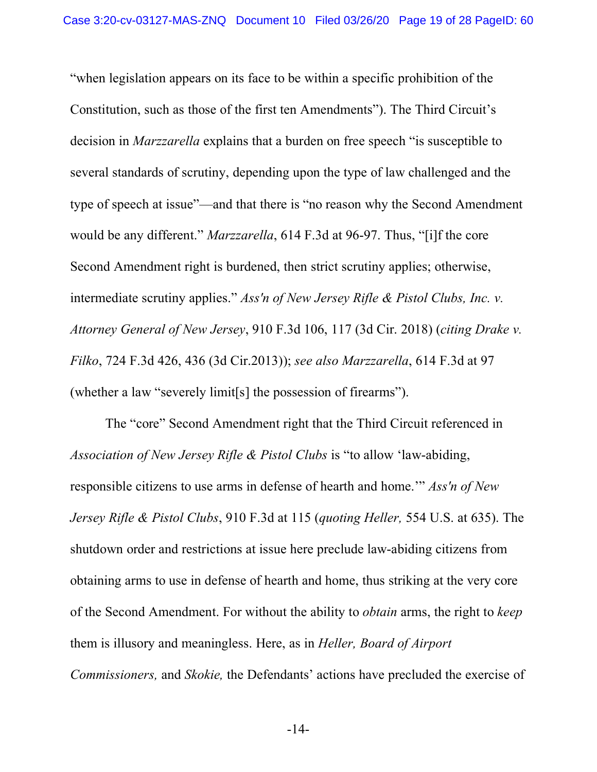"when legislation appears on its face to be within a specific prohibition of the Constitution, such as those of the first ten Amendments"). The Third Circuit's decision in *Marzzarella* explains that a burden on free speech "is susceptible to several standards of scrutiny, depending upon the type of law challenged and the type of speech at issue"—and that there is "no reason why the Second Amendment would be any different." *Marzzarella*, 614 F.3d at 96-97. Thus, "[i]f the core Second Amendment right is burdened, then strict scrutiny applies; otherwise, intermediate scrutiny applies." *Ass'n of New Jersey Rifle & Pistol Clubs, Inc. v. Attorney General of New Jersey*, 910 F.3d 106, 117 (3d Cir. 2018) (*citing Drake v. Filko*, 724 F.3d 426, 436 (3d Cir.2013)); *see also Marzzarella*, 614 F.3d at 97 (whether a law "severely limit[s] the possession of firearms").

The "core" Second Amendment right that the Third Circuit referenced in *Association of New Jersey Rifle & Pistol Clubs* is "to allow 'law-abiding, responsible citizens to use arms in defense of hearth and home.'" *Ass'n of New Jersey Rifle & Pistol Clubs*, 910 F.3d at 115 (*quoting Heller,* 554 U.S. at 635). The shutdown order and restrictions at issue here preclude law-abiding citizens from obtaining arms to use in defense of hearth and home, thus striking at the very core of the Second Amendment. For without the ability to *obtain* arms, the right to *keep* them is illusory and meaningless. Here, as in *Heller, Board of Airport Commissioners,* and *Skokie,* the Defendants' actions have precluded the exercise of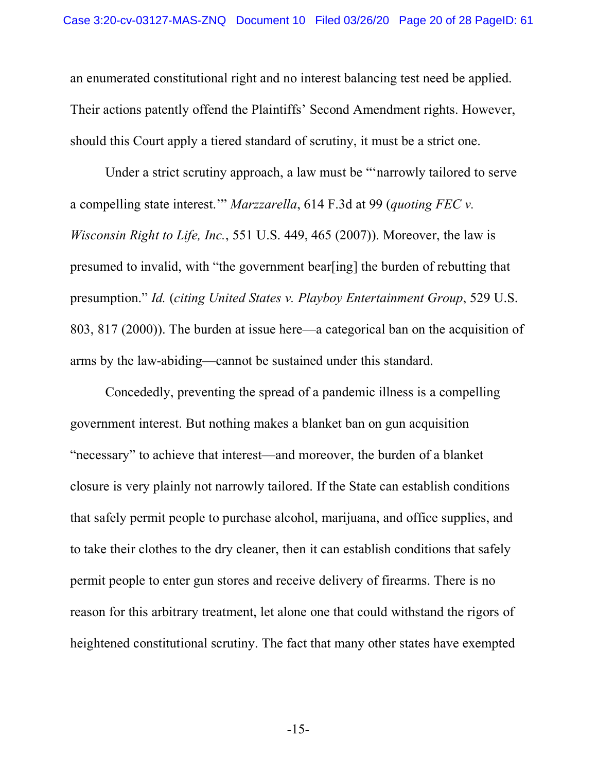an enumerated constitutional right and no interest balancing test need be applied. Their actions patently offend the Plaintiffs' Second Amendment rights. However, should this Court apply a tiered standard of scrutiny, it must be a strict one.

Under a strict scrutiny approach, a law must be "'narrowly tailored to serve a compelling state interest.'" *Marzzarella*, 614 F.3d at 99 (*quoting FEC v. Wisconsin Right to Life, Inc.*, 551 U.S. 449, 465 (2007)). Moreover, the law is presumed to invalid, with "the government bear[ing] the burden of rebutting that presumption." *Id.* (*citing United States v. Playboy Entertainment Group*, 529 U.S. 803, 817 (2000)). The burden at issue here—a categorical ban on the acquisition of arms by the law-abiding—cannot be sustained under this standard.

Concededly, preventing the spread of a pandemic illness is a compelling government interest. But nothing makes a blanket ban on gun acquisition "necessary" to achieve that interest—and moreover, the burden of a blanket closure is very plainly not narrowly tailored. If the State can establish conditions that safely permit people to purchase alcohol, marijuana, and office supplies, and to take their clothes to the dry cleaner, then it can establish conditions that safely permit people to enter gun stores and receive delivery of firearms. There is no reason for this arbitrary treatment, let alone one that could withstand the rigors of heightened constitutional scrutiny. The fact that many other states have exempted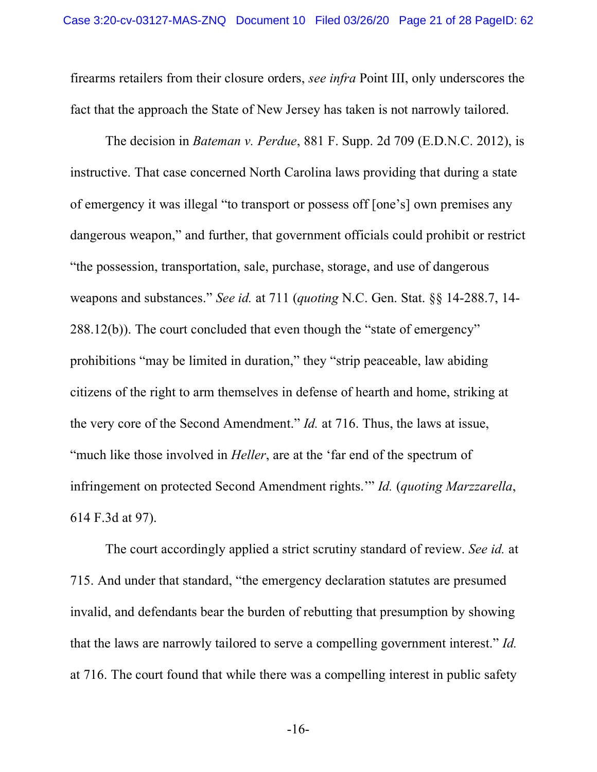firearms retailers from their closure orders, *see infra* Point III, only underscores the fact that the approach the State of New Jersey has taken is not narrowly tailored.

The decision in *Bateman v. Perdue*, 881 F. Supp. 2d 709 (E.D.N.C. 2012), is instructive. That case concerned North Carolina laws providing that during a state of emergency it was illegal "to transport or possess off [one's] own premises any dangerous weapon," and further, that government officials could prohibit or restrict "the possession, transportation, sale, purchase, storage, and use of dangerous weapons and substances." *See id.* at 711 (*quoting* N.C. Gen. Stat. §§ 14-288.7, 14- 288.12(b)). The court concluded that even though the "state of emergency" prohibitions "may be limited in duration," they "strip peaceable, law abiding citizens of the right to arm themselves in defense of hearth and home, striking at the very core of the Second Amendment." *Id.* at 716. Thus, the laws at issue, "much like those involved in *Heller*, are at the 'far end of the spectrum of infringement on protected Second Amendment rights.'" *Id.* (*quoting Marzzarella*, 614 F.3d at 97).

The court accordingly applied a strict scrutiny standard of review. *See id.* at 715. And under that standard, "the emergency declaration statutes are presumed invalid, and defendants bear the burden of rebutting that presumption by showing that the laws are narrowly tailored to serve a compelling government interest." *Id.* at 716. The court found that while there was a compelling interest in public safety

-16-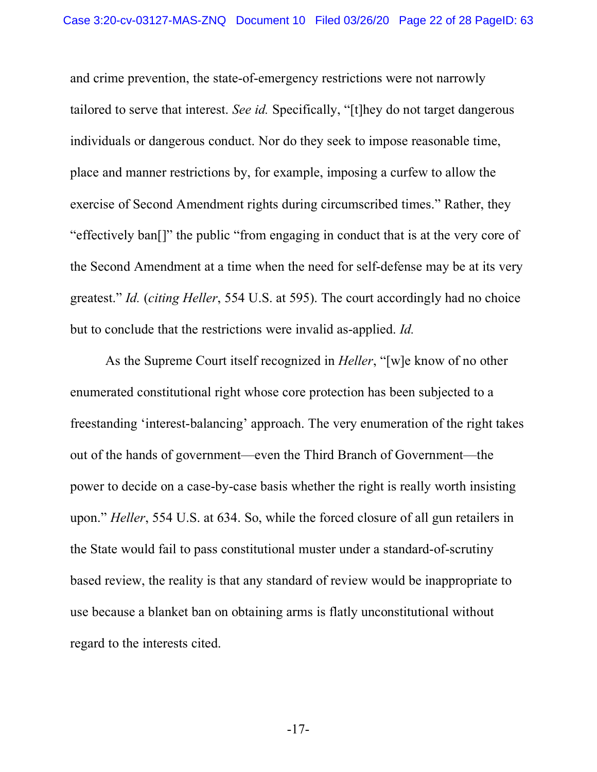and crime prevention, the state-of-emergency restrictions were not narrowly tailored to serve that interest. *See id.* Specifically, "[t]hey do not target dangerous individuals or dangerous conduct. Nor do they seek to impose reasonable time, place and manner restrictions by, for example, imposing a curfew to allow the exercise of Second Amendment rights during circumscribed times." Rather, they "effectively ban[]" the public "from engaging in conduct that is at the very core of the Second Amendment at a time when the need for self-defense may be at its very greatest." *Id.* (*citing Heller*, 554 U.S. at 595). The court accordingly had no choice but to conclude that the restrictions were invalid as-applied. *Id.*

As the Supreme Court itself recognized in *Heller*, "[w]e know of no other enumerated constitutional right whose core protection has been subjected to a freestanding 'interest-balancing' approach. The very enumeration of the right takes out of the hands of government—even the Third Branch of Government—the power to decide on a case-by-case basis whether the right is really worth insisting upon." *Heller*, 554 U.S. at 634. So, while the forced closure of all gun retailers in the State would fail to pass constitutional muster under a standard-of-scrutiny based review, the reality is that any standard of review would be inappropriate to use because a blanket ban on obtaining arms is flatly unconstitutional without regard to the interests cited.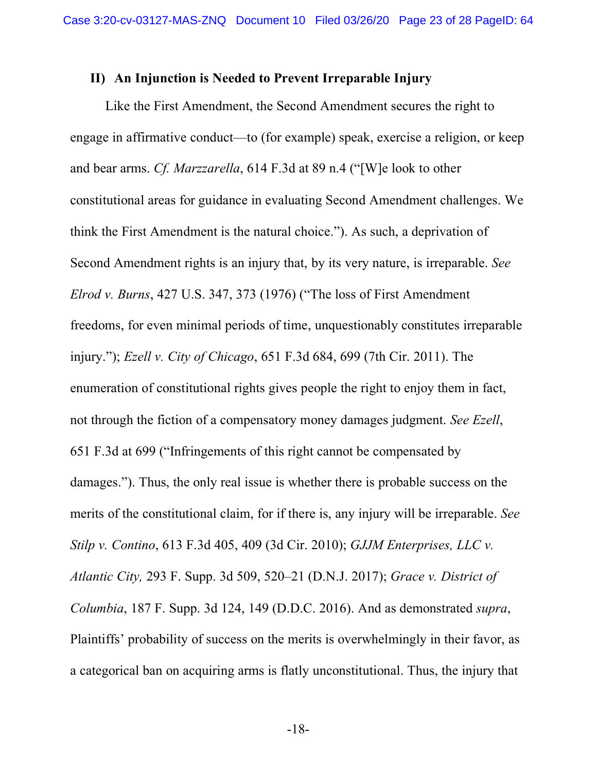#### **II) An Injunction is Needed to Prevent Irreparable Injury**

Like the First Amendment, the Second Amendment secures the right to engage in affirmative conduct—to (for example) speak, exercise a religion, or keep and bear arms. *Cf. Marzzarella*, 614 F.3d at 89 n.4 ("[W]e look to other constitutional areas for guidance in evaluating Second Amendment challenges. We think the First Amendment is the natural choice."). As such, a deprivation of Second Amendment rights is an injury that, by its very nature, is irreparable. *See Elrod v. Burns*, 427 U.S. 347, 373 (1976) ("The loss of First Amendment freedoms, for even minimal periods of time, unquestionably constitutes irreparable injury."); *Ezell v. City of Chicago*, 651 F.3d 684, 699 (7th Cir. 2011). The enumeration of constitutional rights gives people the right to enjoy them in fact, not through the fiction of a compensatory money damages judgment. *See Ezell*, 651 F.3d at 699 ("Infringements of this right cannot be compensated by damages."). Thus, the only real issue is whether there is probable success on the merits of the constitutional claim, for if there is, any injury will be irreparable. *See Stilp v. Contino*, 613 F.3d 405, 409 (3d Cir. 2010); *GJJM Enterprises, LLC v. Atlantic City,* 293 F. Supp. 3d 509, 520–21 (D.N.J. 2017); *Grace v. District of Columbia*, 187 F. Supp. 3d 124, 149 (D.D.C. 2016). And as demonstrated *supra*, Plaintiffs' probability of success on the merits is overwhelmingly in their favor, as a categorical ban on acquiring arms is flatly unconstitutional. Thus, the injury that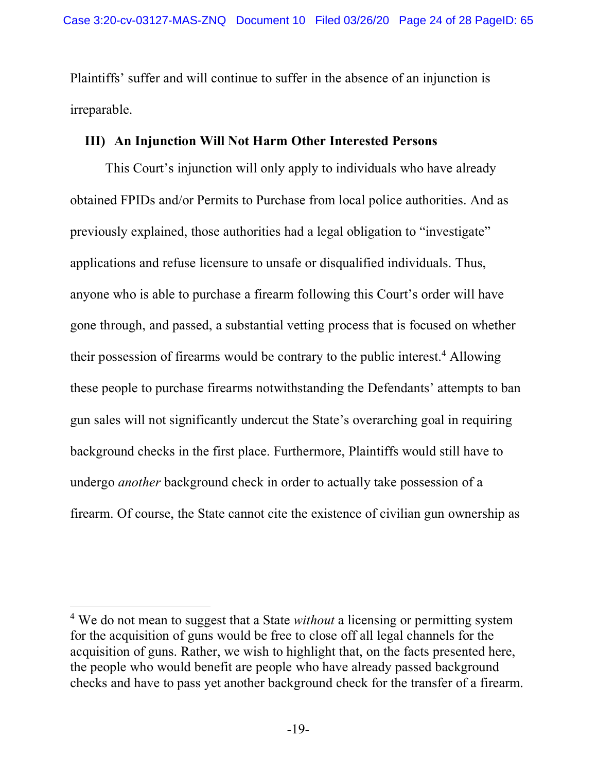Plaintiffs' suffer and will continue to suffer in the absence of an injunction is irreparable.

# **III) An Injunction Will Not Harm Other Interested Persons**

This Court's injunction will only apply to individuals who have already obtained FPIDs and/or Permits to Purchase from local police authorities. And as previously explained, those authorities had a legal obligation to "investigate" applications and refuse licensure to unsafe or disqualified individuals. Thus, anyone who is able to purchase a firearm following this Court's order will have gone through, and passed, a substantial vetting process that is focused on whether their possession of firearms would be contrary to the public interest.4 Allowing these people to purchase firearms notwithstanding the Defendants' attempts to ban gun sales will not significantly undercut the State's overarching goal in requiring background checks in the first place. Furthermore, Plaintiffs would still have to undergo *another* background check in order to actually take possession of a firearm. Of course, the State cannot cite the existence of civilian gun ownership as

 <sup>4</sup> We do not mean to suggest that a State *without* a licensing or permitting system for the acquisition of guns would be free to close off all legal channels for the acquisition of guns. Rather, we wish to highlight that, on the facts presented here, the people who would benefit are people who have already passed background checks and have to pass yet another background check for the transfer of a firearm.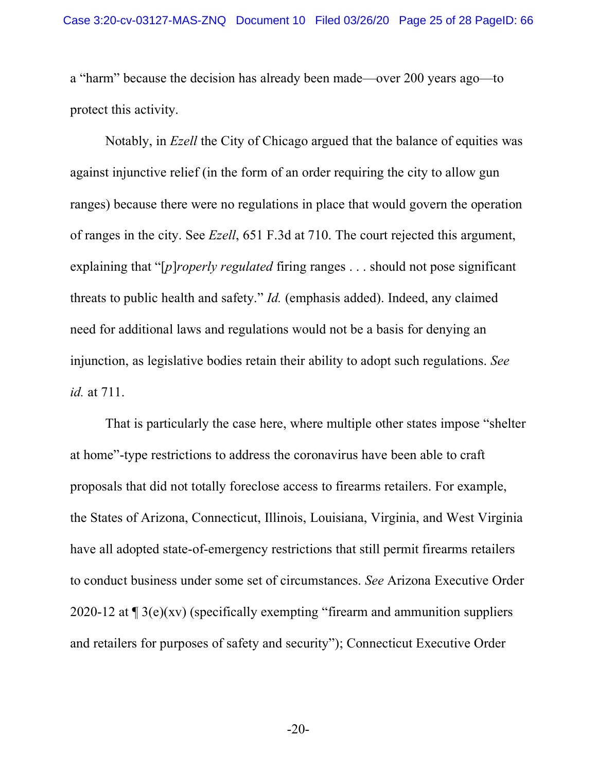a "harm" because the decision has already been made—over 200 years ago—to protect this activity.

Notably, in *Ezell* the City of Chicago argued that the balance of equities was against injunctive relief (in the form of an order requiring the city to allow gun ranges) because there were no regulations in place that would govern the operation of ranges in the city. See *Ezell*, 651 F.3d at 710. The court rejected this argument, explaining that "[*p*]*roperly regulated* firing ranges . . . should not pose significant threats to public health and safety." *Id.* (emphasis added). Indeed, any claimed need for additional laws and regulations would not be a basis for denying an injunction, as legislative bodies retain their ability to adopt such regulations. *See id.* at 711.

That is particularly the case here, where multiple other states impose "shelter at home"-type restrictions to address the coronavirus have been able to craft proposals that did not totally foreclose access to firearms retailers. For example, the States of Arizona, Connecticut, Illinois, Louisiana, Virginia, and West Virginia have all adopted state-of-emergency restrictions that still permit firearms retailers to conduct business under some set of circumstances. *See* Arizona Executive Order 2020-12 at ¶ 3(e)(xv) (specifically exempting "firearm and ammunition suppliers and retailers for purposes of safety and security"); Connecticut Executive Order

-20-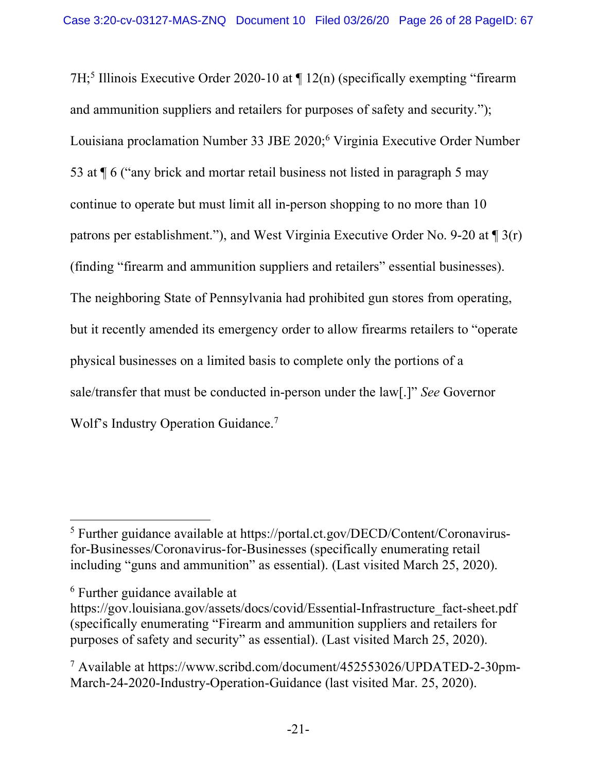7H; <sup>5</sup> Illinois Executive Order 2020-10 at ¶ 12(n) (specifically exempting "firearm and ammunition suppliers and retailers for purposes of safety and security."); Louisiana proclamation Number 33 JBE 2020; <sup>6</sup> Virginia Executive Order Number 53 at ¶ 6 ("any brick and mortar retail business not listed in paragraph 5 may continue to operate but must limit all in-person shopping to no more than 10 patrons per establishment."), and West Virginia Executive Order No. 9-20 at ¶ 3(r) (finding "firearm and ammunition suppliers and retailers" essential businesses). The neighboring State of Pennsylvania had prohibited gun stores from operating, but it recently amended its emergency order to allow firearms retailers to "operate physical businesses on a limited basis to complete only the portions of a sale/transfer that must be conducted in-person under the law[.]" *See* Governor Wolf's Industry Operation Guidance. 7

 <sup>5</sup> Further guidance available at https://portal.ct.gov/DECD/Content/Coronavirusfor-Businesses/Coronavirus-for-Businesses (specifically enumerating retail including "guns and ammunition" as essential). (Last visited March 25, 2020).

<sup>6</sup> Further guidance available at

https://gov.louisiana.gov/assets/docs/covid/Essential-Infrastructure\_fact-sheet.pdf (specifically enumerating "Firearm and ammunition suppliers and retailers for purposes of safety and security" as essential). (Last visited March 25, 2020).

 $^7$  Available at https://www.scribd.com/document/452553026/UPDATED-2-30pm-March-24-2020-Industry-Operation-Guidance (last visited Mar. 25, 2020).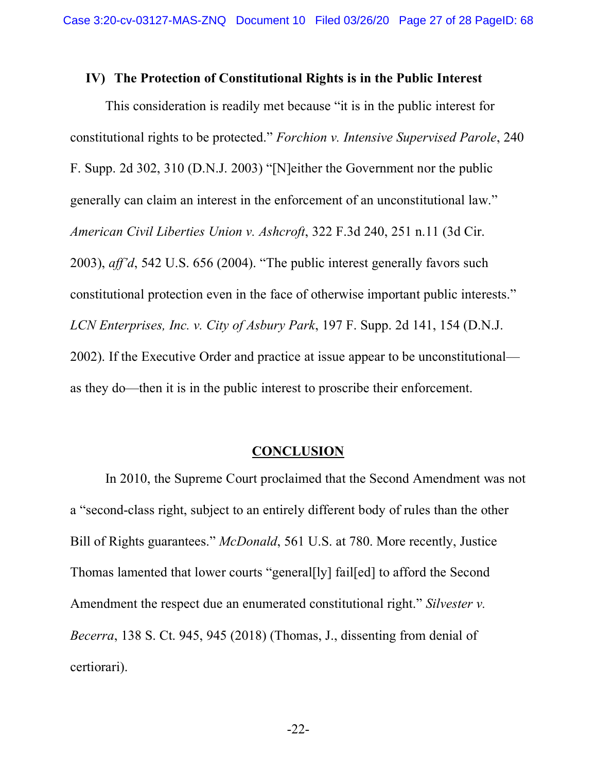#### **IV) The Protection of Constitutional Rights is in the Public Interest**

This consideration is readily met because "it is in the public interest for constitutional rights to be protected." *Forchion v. Intensive Supervised Parole*, 240 F. Supp. 2d 302, 310 (D.N.J. 2003) "[N]either the Government nor the public generally can claim an interest in the enforcement of an unconstitutional law." *American Civil Liberties Union v. Ashcroft*, 322 F.3d 240, 251 n.11 (3d Cir. 2003), *aff'd*, 542 U.S. 656 (2004). "The public interest generally favors such constitutional protection even in the face of otherwise important public interests." *LCN Enterprises, Inc. v. City of Asbury Park*, 197 F. Supp. 2d 141, 154 (D.N.J. 2002). If the Executive Order and practice at issue appear to be unconstitutional as they do—then it is in the public interest to proscribe their enforcement.

## **CONCLUSION**

In 2010, the Supreme Court proclaimed that the Second Amendment was not a "second-class right, subject to an entirely different body of rules than the other Bill of Rights guarantees." *McDonald*, 561 U.S. at 780. More recently, Justice Thomas lamented that lower courts "general[ly] fail[ed] to afford the Second Amendment the respect due an enumerated constitutional right." *Silvester v. Becerra*, 138 S. Ct. 945, 945 (2018) (Thomas, J., dissenting from denial of certiorari).